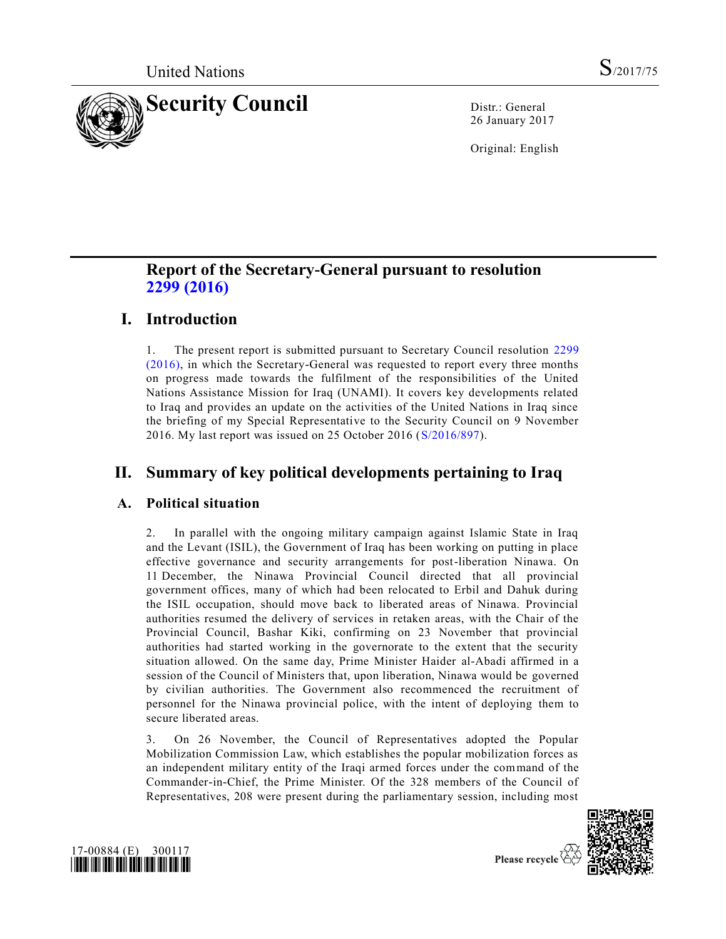

26 January 2017

Original: English

# **Report of the Secretary-General pursuant to resolution 2299 [\(2016\)](http://undocs.org/S/RES/2299(2016))**

# **I. Introduction**

1. The present report is submitted pursuant to Secretary Council resolution [2299](http://undocs.org/S/RES/2299(2016)) [\(2016\),](http://undocs.org/S/RES/2299(2016)) in which the Secretary-General was requested to report every three months on progress made towards the fulfilment of the responsibilities of the United Nations Assistance Mission for Iraq (UNAMI). It covers key developments related to Iraq and provides an update on the activities of the United Nations in Iraq since the briefing of my Special Representative to the Security Council on 9 November 2016. My last report was issued on 25 October 2016 [\(S/2016/897\)](http://undocs.org/S/2016/897).

# **II. Summary of key political developments pertaining to Iraq**

### **A. Political situation**

2. In parallel with the ongoing military campaign against Islamic State in Iraq and the Levant (ISIL), the Government of Iraq has been working on putting in place effective governance and security arrangements for post-liberation Ninawa. On 11 December, the Ninawa Provincial Council directed that all provincial government offices, many of which had been relocated to Erbil and Dahuk during the ISIL occupation, should move back to liberated areas of Ninawa. Provincial authorities resumed the delivery of services in retaken areas, with the Chair of the Provincial Council, Bashar Kiki, confirming on 23 November that provincial authorities had started working in the governorate to the extent that the security situation allowed. On the same day, Prime Minister Haider al-Abadi affirmed in a session of the Council of Ministers that, upon liberation, Ninawa would be governed by civilian authorities. The Government also recommenced the recruitment of personnel for the Ninawa provincial police, with the intent of deploying them to secure liberated areas.

3. On 26 November, the Council of Representatives adopted the Popular Mobilization Commission Law, which establishes the popular mobilization forces as an independent military entity of the Iraqi armed forces under the command of the Commander-in-Chief, the Prime Minister. Of the 328 members of the Council of Representatives, 208 were present during the parliamentary session, including most



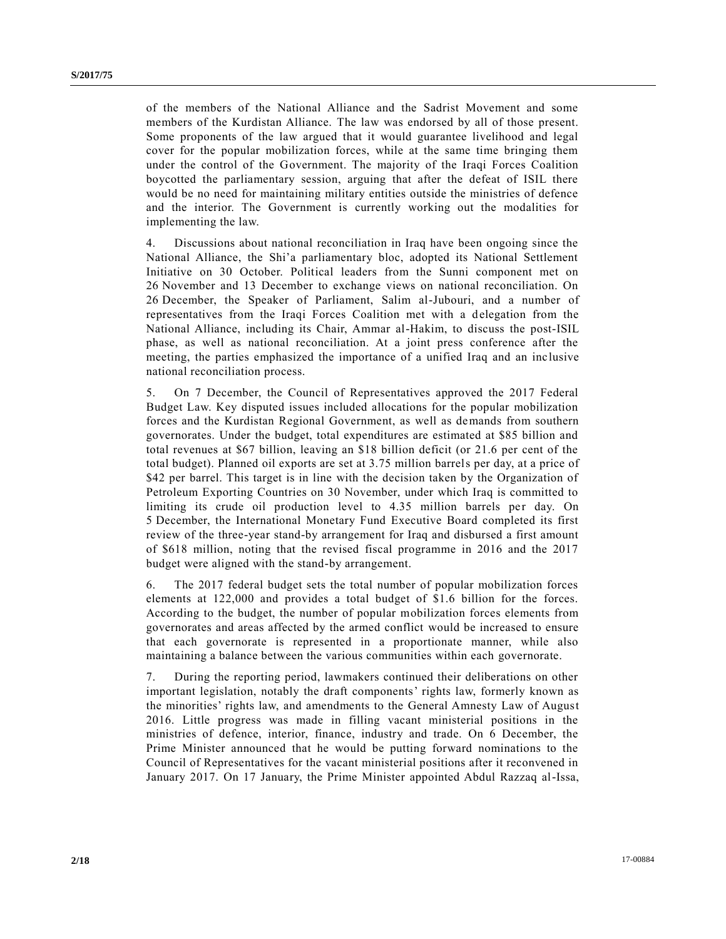of the members of the National Alliance and the Sadrist Movement and some members of the Kurdistan Alliance. The law was endorsed by all of those present. Some proponents of the law argued that it would guarantee livelihood and legal cover for the popular mobilization forces, while at the same time bringing them under the control of the Government. The majority of the Iraqi Forces Coalition boycotted the parliamentary session, arguing that after the defeat of ISIL there would be no need for maintaining military entities outside the ministries of defence and the interior. The Government is currently working out the modalities for implementing the law.

4. Discussions about national reconciliation in Iraq have been ongoing since the National Alliance, the Shi'a parliamentary bloc, adopted its National Settlement Initiative on 30 October. Political leaders from the Sunni component met on 26 November and 13 December to exchange views on national reconciliation. On 26 December, the Speaker of Parliament, Salim al-Jubouri, and a number of representatives from the Iraqi Forces Coalition met with a delegation from the National Alliance, including its Chair, Ammar al-Hakim, to discuss the post-ISIL phase, as well as national reconciliation. At a joint press conference after the meeting, the parties emphasized the importance of a unified Iraq and an inc lusive national reconciliation process.

5. On 7 December, the Council of Representatives approved the 2017 Federal Budget Law. Key disputed issues included allocations for the popular mobilization forces and the Kurdistan Regional Government, as well as demands from southern governorates. Under the budget, total expenditures are estimated at \$85 billion and total revenues at \$67 billion, leaving an \$18 billion deficit (or 21.6 per cent of the total budget). Planned oil exports are set at 3.75 million barrels per day, at a price of \$42 per barrel. This target is in line with the decision taken by the Organization of Petroleum Exporting Countries on 30 November, under which Iraq is committed to limiting its crude oil production level to 4.35 million barrels per day. On 5 December, the International Monetary Fund Executive Board completed its first review of the three-year stand-by arrangement for Iraq and disbursed a first amount of \$618 million, noting that the revised fiscal programme in 2016 and the 2017 budget were aligned with the stand-by arrangement.

6. The 2017 federal budget sets the total number of popular mobilization forces elements at 122,000 and provides a total budget of \$1.6 billion for the forces. According to the budget, the number of popular mobilization forces elements from governorates and areas affected by the armed conflict would be increased to ensure that each governorate is represented in a proportionate manner, while also maintaining a balance between the various communities within each governorate.

7. During the reporting period, lawmakers continued their deliberations on other important legislation, notably the draft components' rights law, formerly known as the minorities' rights law, and amendments to the General Amnesty Law of August 2016. Little progress was made in filling vacant ministerial positions in the ministries of defence, interior, finance, industry and trade. On 6 December, the Prime Minister announced that he would be putting forward nominations to the Council of Representatives for the vacant ministerial positions after it reconvened in January 2017. On 17 January, the Prime Minister appointed Abdul Razzaq al-Issa,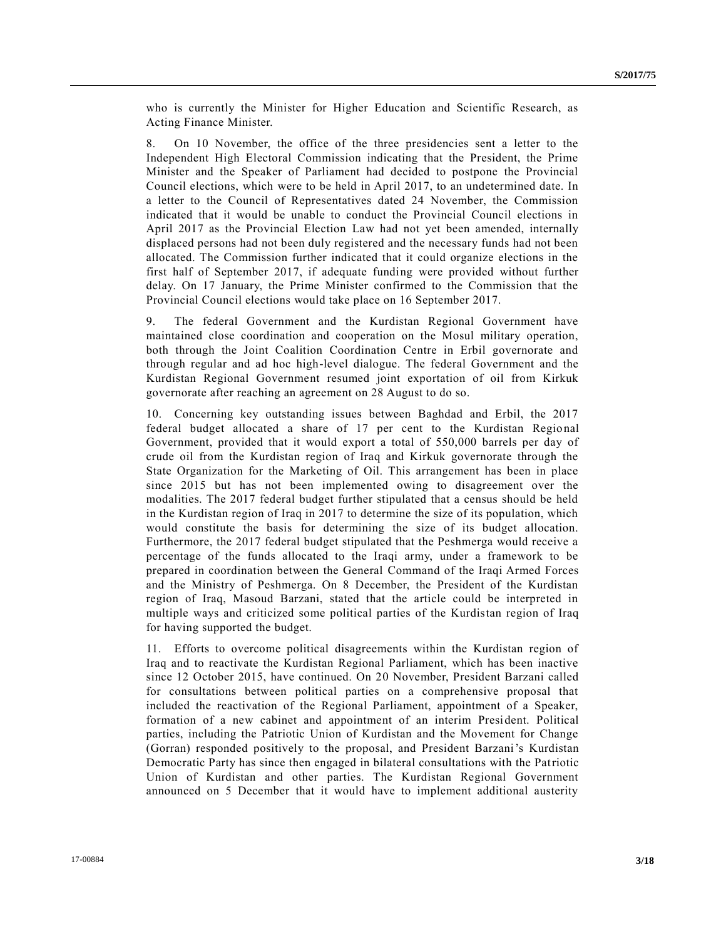who is currently the Minister for Higher Education and Scientific Research, as Acting Finance Minister.

8. On 10 November, the office of the three presidencies sent a letter to the Independent High Electoral Commission indicating that the President, the Prime Minister and the Speaker of Parliament had decided to postpone the Provincial Council elections, which were to be held in April 2017, to an undetermined date. In a letter to the Council of Representatives dated 24 November, the Commission indicated that it would be unable to conduct the Provincial Council elections in April 2017 as the Provincial Election Law had not yet been amended, internally displaced persons had not been duly registered and the necessary funds had not been allocated. The Commission further indicated that it could organize elections in the first half of September 2017, if adequate funding were provided without further delay. On 17 January, the Prime Minister confirmed to the Commission that the Provincial Council elections would take place on 16 September 2017.

9. The federal Government and the Kurdistan Regional Government have maintained close coordination and cooperation on the Mosul military operation, both through the Joint Coalition Coordination Centre in Erbil governorate and through regular and ad hoc high-level dialogue. The federal Government and the Kurdistan Regional Government resumed joint exportation of oil from Kirkuk governorate after reaching an agreement on 28 August to do so.

10. Concerning key outstanding issues between Baghdad and Erbil, the 2017 federal budget allocated a share of 17 per cent to the Kurdistan Regional Government, provided that it would export a total of 550,000 barrels per day of crude oil from the Kurdistan region of Iraq and Kirkuk governorate through the State Organization for the Marketing of Oil. This arrangement has been in place since 2015 but has not been implemented owing to disagreement over the modalities. The 2017 federal budget further stipulated that a census should be held in the Kurdistan region of Iraq in 2017 to determine the size of its population, which would constitute the basis for determining the size of its budget allocation. Furthermore, the 2017 federal budget stipulated that the Peshmerga would receive a percentage of the funds allocated to the Iraqi army, under a framework to be prepared in coordination between the General Command of the Iraqi Armed Forces and the Ministry of Peshmerga. On 8 December, the President of the Kurdistan region of Iraq, Masoud Barzani, stated that the article could be interpreted in multiple ways and criticized some political parties of the Kurdistan region of Iraq for having supported the budget.

11. Efforts to overcome political disagreements within the Kurdistan region of Iraq and to reactivate the Kurdistan Regional Parliament, which has been inactive since 12 October 2015, have continued. On 20 November, President Barzani called for consultations between political parties on a comprehensive proposal that included the reactivation of the Regional Parliament, appointment of a Speaker, formation of a new cabinet and appointment of an interim President. Political parties, including the Patriotic Union of Kurdistan and the Movement for Change (Gorran) responded positively to the proposal, and President Barzani's Kurdistan Democratic Party has since then engaged in bilateral consultations with the Patriotic Union of Kurdistan and other parties. The Kurdistan Regional Government announced on 5 December that it would have to implement additional austerity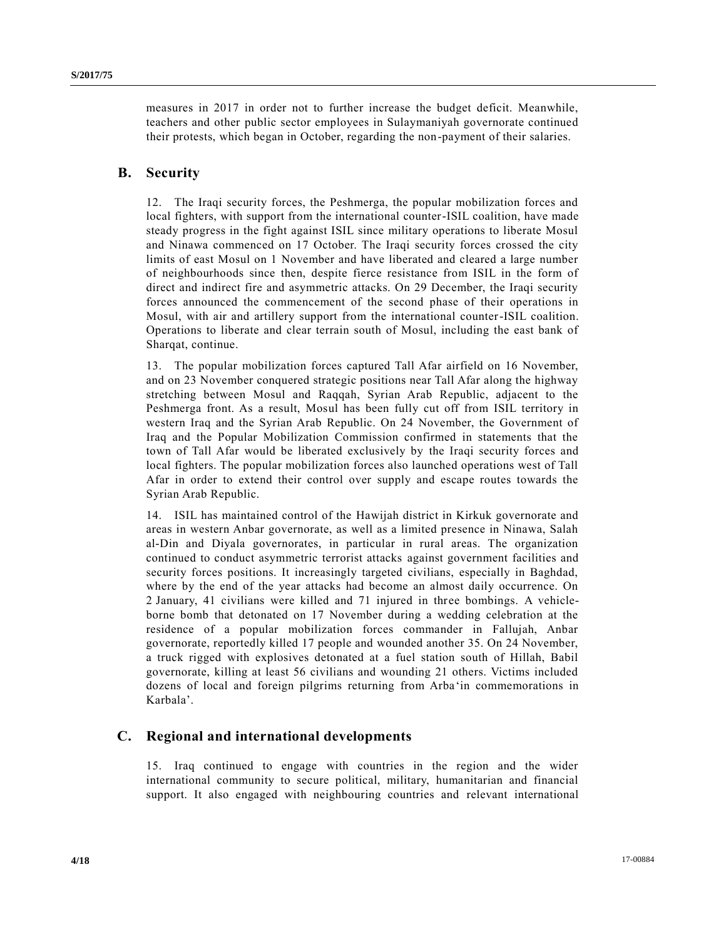measures in 2017 in order not to further increase the budget deficit. Meanwhile, teachers and other public sector employees in Sulaymaniyah governorate continued their protests, which began in October, regarding the non-payment of their salaries.

#### **B. Security**

12. The Iraqi security forces, the Peshmerga, the popular mobilization forces and local fighters, with support from the international counter-ISIL coalition, have made steady progress in the fight against ISIL since military operations to liberate Mosul and Ninawa commenced on 17 October. The Iraqi security forces crossed the city limits of east Mosul on 1 November and have liberated and cleared a large number of neighbourhoods since then, despite fierce resistance from ISIL in the form of direct and indirect fire and asymmetric attacks. On 29 December, the Iraqi security forces announced the commencement of the second phase of their operations in Mosul, with air and artillery support from the international counter-ISIL coalition. Operations to liberate and clear terrain south of Mosul, including the east bank of Sharqat, continue.

13. The popular mobilization forces captured Tall Afar airfield on 16 November, and on 23 November conquered strategic positions near Tall Afar along the highway stretching between Mosul and Raqqah, Syrian Arab Republic, adjacent to the Peshmerga front. As a result, Mosul has been fully cut off from ISIL territory in western Iraq and the Syrian Arab Republic. On 24 November, the Government of Iraq and the Popular Mobilization Commission confirmed in statements that the town of Tall Afar would be liberated exclusively by the Iraqi security forces and local fighters. The popular mobilization forces also launched operations west of Tall Afar in order to extend their control over supply and escape routes towards the Syrian Arab Republic.

14. ISIL has maintained control of the Hawijah district in Kirkuk governorate and areas in western Anbar governorate, as well as a limited presence in Ninawa, Salah al-Din and Diyala governorates, in particular in rural areas. The organization continued to conduct asymmetric terrorist attacks against government facilities and security forces positions. It increasingly targeted civilians, especially in Baghdad, where by the end of the year attacks had become an almost daily occurrence. On 2 January, 41 civilians were killed and 71 injured in three bombings. A vehicleborne bomb that detonated on 17 November during a wedding celebration at the residence of a popular mobilization forces commander in Fallujah, Anbar governorate, reportedly killed 17 people and wounded another 35. On 24 November, a truck rigged with explosives detonated at a fuel station south of Hillah, Babil governorate, killing at least 56 civilians and wounding 21 others. Victims included dozens of local and foreign pilgrims returning from Arba'in commemorations in Karbala'.

#### **C. Regional and international developments**

15. Iraq continued to engage with countries in the region and the wider international community to secure political, military, humanitarian and financial support. It also engaged with neighbouring countries and relevant international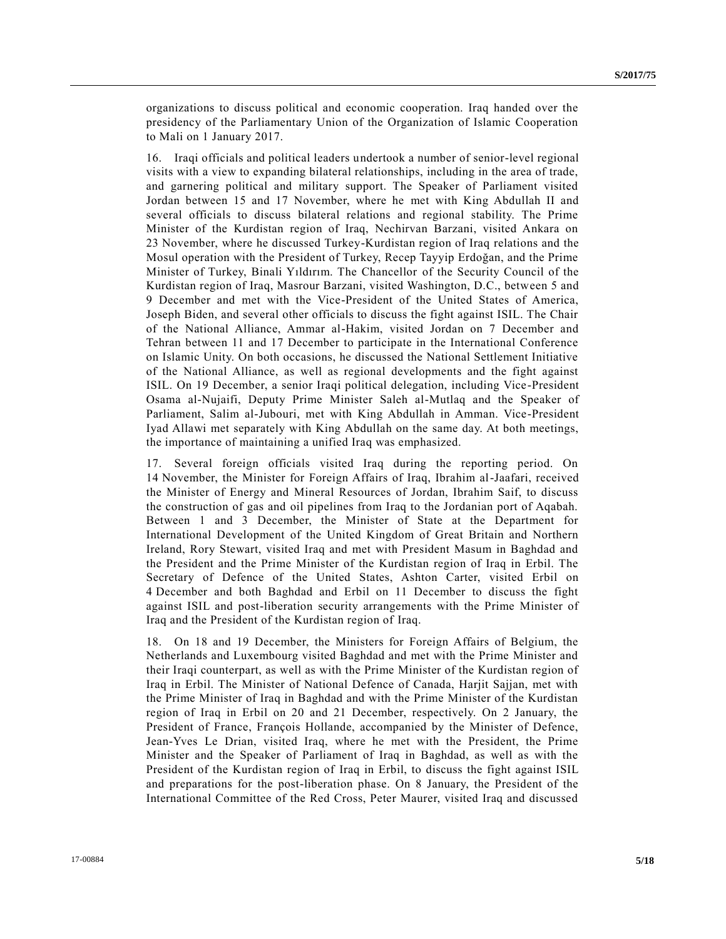organizations to discuss political and economic cooperation. Iraq handed over the presidency of the Parliamentary Union of the Organization of Islamic Cooperation to Mali on 1 January 2017.

16. Iraqi officials and political leaders undertook a number of senior-level regional visits with a view to expanding bilateral relationships, including in the area of trade, and garnering political and military support. The Speaker of Parliament visited Jordan between 15 and 17 November, where he met with King Abdullah II and several officials to discuss bilateral relations and regional stability. The Prime Minister of the Kurdistan region of Iraq, Nechirvan Barzani, visited Ankara on 23 November, where he discussed Turkey-Kurdistan region of Iraq relations and the Mosul operation with the President of Turkey, Recep Tayyip Erdoğan, and the Prime Minister of Turkey, Binali Yıldırım. The Chancellor of the Security Council of the Kurdistan region of Iraq, Masrour Barzani, visited Washington, D.C., between 5 and 9 December and met with the Vice-President of the United States of America, Joseph Biden, and several other officials to discuss the fight against ISIL. The Chair of the National Alliance, Ammar al-Hakim, visited Jordan on 7 December and Tehran between 11 and 17 December to participate in the International Conference on Islamic Unity. On both occasions, he discussed the National Settlement Initiative of the National Alliance, as well as regional developments and the fight against ISIL. On 19 December, a senior Iraqi political delegation, including Vice-President Osama al-Nujaifi, Deputy Prime Minister Saleh al-Mutlaq and the Speaker of Parliament, Salim al-Jubouri, met with King Abdullah in Amman. Vice-President Iyad Allawi met separately with King Abdullah on the same day. At both meetings, the importance of maintaining a unified Iraq was emphasized.

17. Several foreign officials visited Iraq during the reporting period. On 14 November, the Minister for Foreign Affairs of Iraq, Ibrahim al-Jaafari, received the Minister of Energy and Mineral Resources of Jordan, Ibrahim Saif, to discuss the construction of gas and oil pipelines from Iraq to the Jordanian port of Aqabah. Between 1 and 3 December, the Minister of State at the Department for International Development of the United Kingdom of Great Britain and Northern Ireland, Rory Stewart, visited Iraq and met with President Masum in Baghdad and the President and the Prime Minister of the Kurdistan region of Iraq in Erbil. The Secretary of Defence of the United States, Ashton Carter, visited Erbil on 4 December and both Baghdad and Erbil on 11 December to discuss the fight against ISIL and post-liberation security arrangements with the Prime Minister of Iraq and the President of the Kurdistan region of Iraq.

18. On 18 and 19 December, the Ministers for Foreign Affairs of Belgium, the Netherlands and Luxembourg visited Baghdad and met with the Prime Minister and their Iraqi counterpart, as well as with the Prime Minister of the Kurdistan region of Iraq in Erbil. The Minister of National Defence of Canada, Harjit Sajjan, met with the Prime Minister of Iraq in Baghdad and with the Prime Minister of the Kurdistan region of Iraq in Erbil on 20 and 21 December, respectively. On 2 January, the President of France, François Hollande, accompanied by the Minister of Defence, Jean-Yves Le Drian, visited Iraq, where he met with the President, the Prime Minister and the Speaker of Parliament of Iraq in Baghdad, as well as with the President of the Kurdistan region of Iraq in Erbil, to discuss the fight against ISIL and preparations for the post-liberation phase. On 8 January, the President of the International Committee of the Red Cross, Peter Maurer, visited Iraq and discussed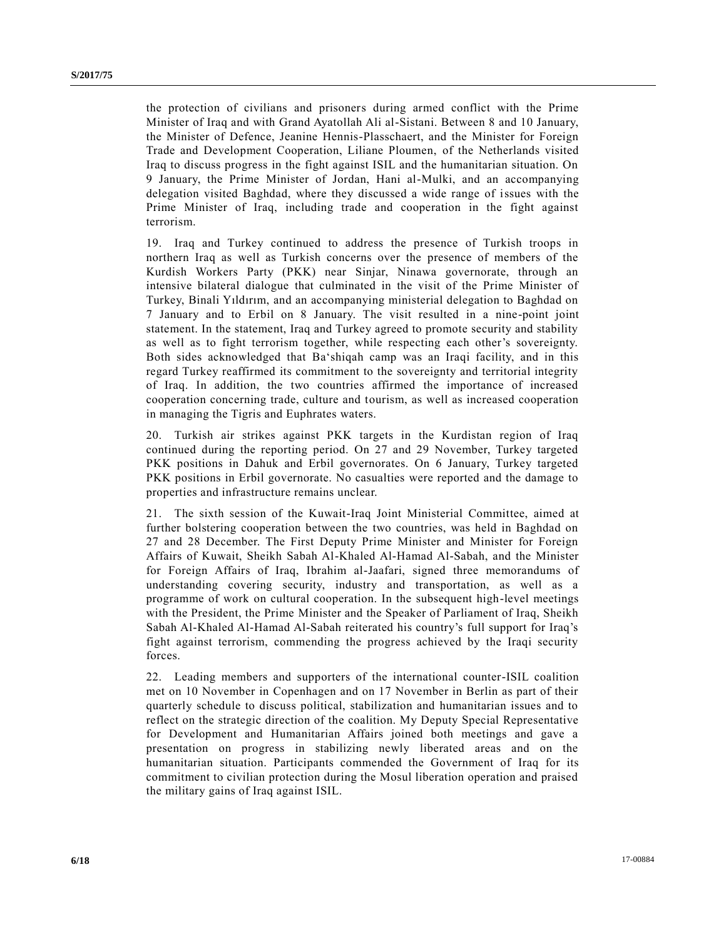the protection of civilians and prisoners during armed conflict with the Prime Minister of Iraq and with Grand Ayatollah Ali al-Sistani. Between 8 and 10 January, the Minister of Defence, Jeanine Hennis-Plasschaert, and the Minister for Foreign Trade and Development Cooperation, Liliane Ploumen, of the Netherlands visited Iraq to discuss progress in the fight against ISIL and the humanitarian situation. On 9 January, the Prime Minister of Jordan, Hani al-Mulki, and an accompanying delegation visited Baghdad, where they discussed a wide range of issues with the Prime Minister of Iraq, including trade and cooperation in the fight against terrorism.

19. Iraq and Turkey continued to address the presence of Turkish troops in northern Iraq as well as Turkish concerns over the presence of members of the Kurdish Workers Party (PKK) near Sinjar, Ninawa governorate, through an intensive bilateral dialogue that culminated in the visit of the Prime Minister of Turkey, Binali Yıldırım, and an accompanying ministerial delegation to Baghdad on 7 January and to Erbil on 8 January. The visit resulted in a nine-point joint statement. In the statement, Iraq and Turkey agreed to promote security and stability as well as to fight terrorism together, while respecting each other's sovereignty. Both sides acknowledged that Ba'shiqah camp was an Iraqi facility, and in this regard Turkey reaffirmed its commitment to the sovereignty and territorial integrity of Iraq. In addition, the two countries affirmed the importance of increased cooperation concerning trade, culture and tourism, as well as increased cooperation in managing the Tigris and Euphrates waters.

20. Turkish air strikes against PKK targets in the Kurdistan region of Iraq continued during the reporting period. On 27 and 29 November, Turkey targeted PKK positions in Dahuk and Erbil governorates. On 6 January, Turkey targeted PKK positions in Erbil governorate. No casualties were reported and the damage to properties and infrastructure remains unclear.

21. The sixth session of the Kuwait-Iraq Joint Ministerial Committee, aimed at further bolstering cooperation between the two countries, was held in Baghdad on 27 and 28 December. The First Deputy Prime Minister and Minister for Foreign Affairs of Kuwait, Sheikh Sabah Al-Khaled Al-Hamad Al-Sabah, and the Minister for Foreign Affairs of Iraq, Ibrahim al-Jaafari, signed three memorandums of understanding covering security, industry and transportation, as well as a programme of work on cultural cooperation. In the subsequent high-level meetings with the President, the Prime Minister and the Speaker of Parliament of Iraq, Sheikh Sabah Al-Khaled Al-Hamad Al-Sabah reiterated his country's full support for Iraq's fight against terrorism, commending the progress achieved by the Iraqi security forces.

22. Leading members and supporters of the international counter-ISIL coalition met on 10 November in Copenhagen and on 17 November in Berlin as part of their quarterly schedule to discuss political, stabilization and humanitarian issues and to reflect on the strategic direction of the coalition. My Deputy Special Representative for Development and Humanitarian Affairs joined both meetings and gave a presentation on progress in stabilizing newly liberated areas and on the humanitarian situation. Participants commended the Government of Iraq for its commitment to civilian protection during the Mosul liberation operation and praised the military gains of Iraq against ISIL.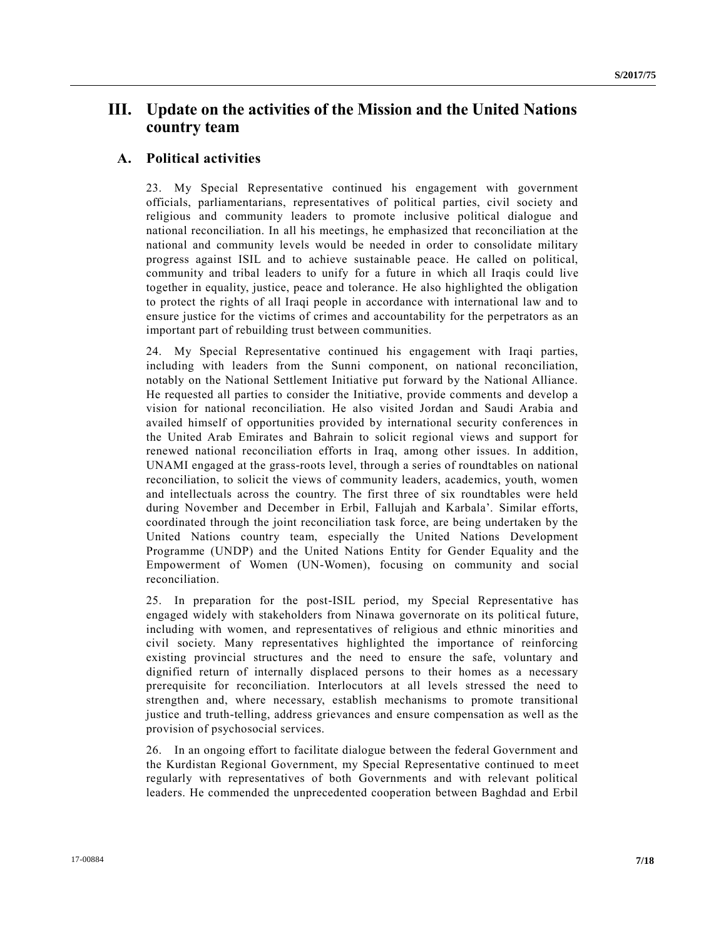## **III. Update on the activities of the Mission and the United Nations country team**

#### **A. Political activities**

23. My Special Representative continued his engagement with government officials, parliamentarians, representatives of political parties, civil society and religious and community leaders to promote inclusive political dialogue and national reconciliation. In all his meetings, he emphasized that reconciliation at the national and community levels would be needed in order to consolidate military progress against ISIL and to achieve sustainable peace. He called on political, community and tribal leaders to unify for a future in which all Iraqis could live together in equality, justice, peace and tolerance. He also highlighted the obligation to protect the rights of all Iraqi people in accordance with international law and to ensure justice for the victims of crimes and accountability for the perpetrators as an important part of rebuilding trust between communities.

24. My Special Representative continued his engagement with Iraqi parties, including with leaders from the Sunni component, on national reconciliation, notably on the National Settlement Initiative put forward by the National Alliance. He requested all parties to consider the Initiative, provide comments and develop a vision for national reconciliation. He also visited Jordan and Saudi Arabia and availed himself of opportunities provided by international security conferences in the United Arab Emirates and Bahrain to solicit regional views and support for renewed national reconciliation efforts in Iraq, among other issues. In addition, UNAMI engaged at the grass-roots level, through a series of roundtables on national reconciliation, to solicit the views of community leaders, academics, youth, women and intellectuals across the country. The first three of six roundtables were held during November and December in Erbil, Fallujah and Karbala'. Similar efforts, coordinated through the joint reconciliation task force, are being undertaken by the United Nations country team, especially the United Nations Development Programme (UNDP) and the United Nations Entity for Gender Equality and the Empowerment of Women (UN-Women), focusing on community and social reconciliation.

25. In preparation for the post-ISIL period, my Special Representative has engaged widely with stakeholders from Ninawa governorate on its political future, including with women, and representatives of religious and ethnic minorities and civil society. Many representatives highlighted the importance of reinforcing existing provincial structures and the need to ensure the safe, voluntary and dignified return of internally displaced persons to their homes as a necessary prerequisite for reconciliation. Interlocutors at all levels stressed the need to strengthen and, where necessary, establish mechanisms to promote transitional justice and truth-telling, address grievances and ensure compensation as well as the provision of psychosocial services.

26. In an ongoing effort to facilitate dialogue between the federal Government and the Kurdistan Regional Government, my Special Representative continued to meet regularly with representatives of both Governments and with relevant political leaders. He commended the unprecedented cooperation between Baghdad and Erbil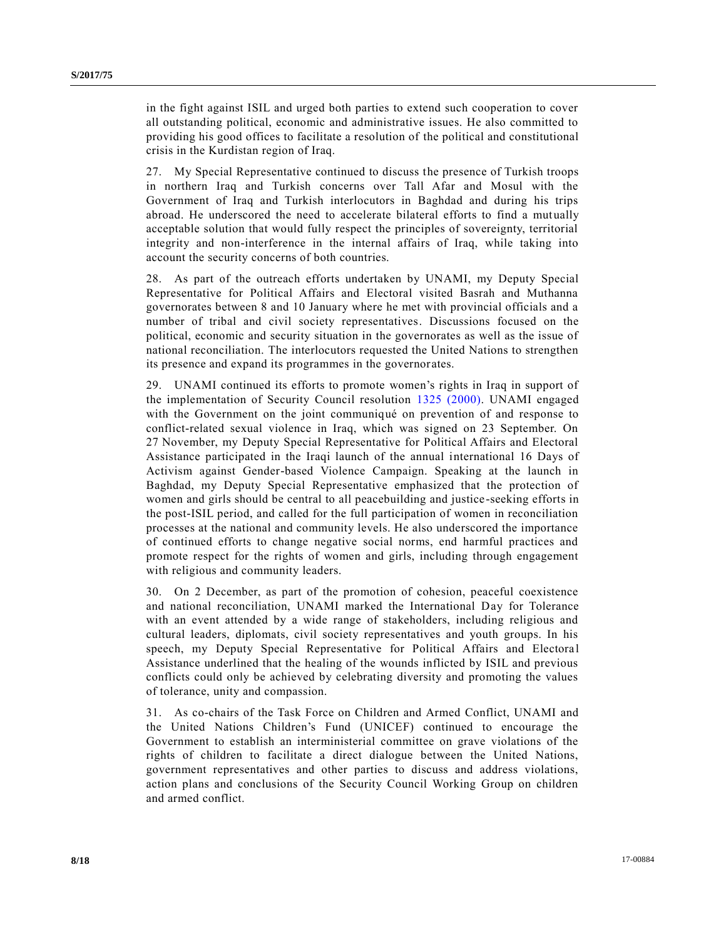in the fight against ISIL and urged both parties to extend such cooperation to cover all outstanding political, economic and administrative issues. He also committed to providing his good offices to facilitate a resolution of the political and constitutional crisis in the Kurdistan region of Iraq.

27. My Special Representative continued to discuss the presence of Turkish troops in northern Iraq and Turkish concerns over Tall Afar and Mosul with the Government of Iraq and Turkish interlocutors in Baghdad and during his trips abroad. He underscored the need to accelerate bilateral efforts to find a mutually acceptable solution that would fully respect the principles of sovereignty, territorial integrity and non-interference in the internal affairs of Iraq, while taking into account the security concerns of both countries.

28. As part of the outreach efforts undertaken by UNAMI, my Deputy Special Representative for Political Affairs and Electoral visited Basrah and Muthanna governorates between 8 and 10 January where he met with provincial officials and a number of tribal and civil society representatives. Discussions focused on the political, economic and security situation in the governorates as well as the issue of national reconciliation. The interlocutors requested the United Nations to strengthen its presence and expand its programmes in the governorates.

29. UNAMI continued its efforts to promote women's rights in Iraq in support of the implementation of Security Council resolution [1325 \(2000\).](http://undocs.org/S/RES/1325(2000)) UNAMI engaged with the Government on the joint communiqué on prevention of and response to conflict-related sexual violence in Iraq, which was signed on 23 September. On 27 November, my Deputy Special Representative for Political Affairs and Electoral Assistance participated in the Iraqi launch of the annual international 16 Days of Activism against Gender-based Violence Campaign. Speaking at the launch in Baghdad, my Deputy Special Representative emphasized that the protection of women and girls should be central to all peacebuilding and justice -seeking efforts in the post-ISIL period, and called for the full participation of women in reconciliation processes at the national and community levels. He also underscored the importance of continued efforts to change negative social norms, end harmful practices and promote respect for the rights of women and girls, including through engagement with religious and community leaders.

30. On 2 December, as part of the promotion of cohesion, peaceful coexistence and national reconciliation, UNAMI marked the International Day for Tolerance with an event attended by a wide range of stakeholders, including religious and cultural leaders, diplomats, civil society representatives and youth groups. In his speech, my Deputy Special Representative for Political Affairs and Electoral Assistance underlined that the healing of the wounds inflicted by ISIL and previous conflicts could only be achieved by celebrating diversity and promoting the values of tolerance, unity and compassion.

31. As co-chairs of the Task Force on Children and Armed Conflict, UNAMI and the United Nations Children's Fund (UNICEF) continued to encourage the Government to establish an interministerial committee on grave violations of the rights of children to facilitate a direct dialogue between the United Nations, government representatives and other parties to discuss and address violations, action plans and conclusions of the Security Council Working Group on children and armed conflict.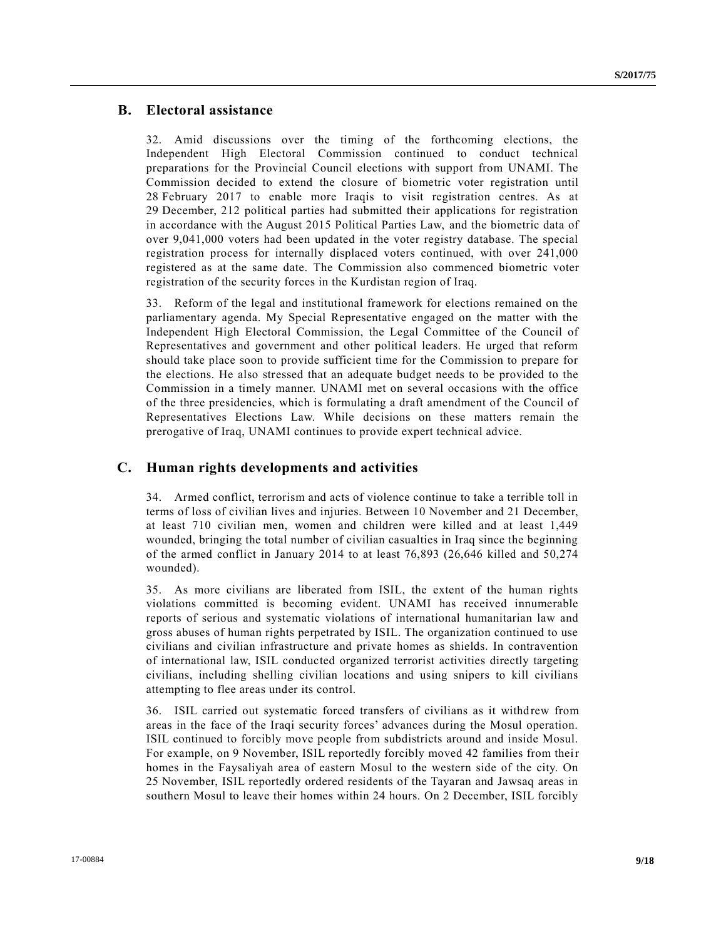#### **B. Electoral assistance**

32. Amid discussions over the timing of the forthcoming elections, the Independent High Electoral Commission continued to conduct technical preparations for the Provincial Council elections with support from UNAMI. The Commission decided to extend the closure of biometric voter registration until 28 February 2017 to enable more Iraqis to visit registration centres. As at 29 December, 212 political parties had submitted their applications for registration in accordance with the August 2015 Political Parties Law, and the biometric data of over 9,041,000 voters had been updated in the voter registry database. The special registration process for internally displaced voters continued, with over 241,000 registered as at the same date. The Commission also commenced biometric voter registration of the security forces in the Kurdistan region of Iraq.

33. Reform of the legal and institutional framework for elections remained on the parliamentary agenda. My Special Representative engaged on the matter with the Independent High Electoral Commission, the Legal Committee of the Council of Representatives and government and other political leaders. He urged that reform should take place soon to provide sufficient time for the Commission to prepare for the elections. He also stressed that an adequate budget needs to be provided to the Commission in a timely manner. UNAMI met on several occasions with the office of the three presidencies, which is formulating a draft amendment of the Council of Representatives Elections Law. While decisions on these matters remain the prerogative of Iraq, UNAMI continues to provide expert technical advice.

#### **C. Human rights developments and activities**

34. Armed conflict, terrorism and acts of violence continue to take a terrible toll in terms of loss of civilian lives and injuries. Between 10 November and 21 December, at least 710 civilian men, women and children were killed and at least 1,449 wounded, bringing the total number of civilian casualties in Iraq since the beginning of the armed conflict in January 2014 to at least 76,893 (26,646 killed and 50,274 wounded).

35. As more civilians are liberated from ISIL, the extent of the human rights violations committed is becoming evident. UNAMI has received innumerable reports of serious and systematic violations of international humanitarian law and gross abuses of human rights perpetrated by ISIL. The organization continued to use civilians and civilian infrastructure and private homes as shields. In contravention of international law, ISIL conducted organized terrorist activities directly targeting civilians, including shelling civilian locations and using snipers to kill civilians attempting to flee areas under its control.

36. ISIL carried out systematic forced transfers of civilians as it withdrew from areas in the face of the Iraqi security forces' advances during the Mosul operation. ISIL continued to forcibly move people from subdistricts around and inside Mosul. For example, on 9 November, ISIL reportedly forcibly moved 42 families from their homes in the Faysaliyah area of eastern Mosul to the western side of the city. On 25 November, ISIL reportedly ordered residents of the Tayaran and Jawsaq areas in southern Mosul to leave their homes within 24 hours. On 2 December, ISIL forcibly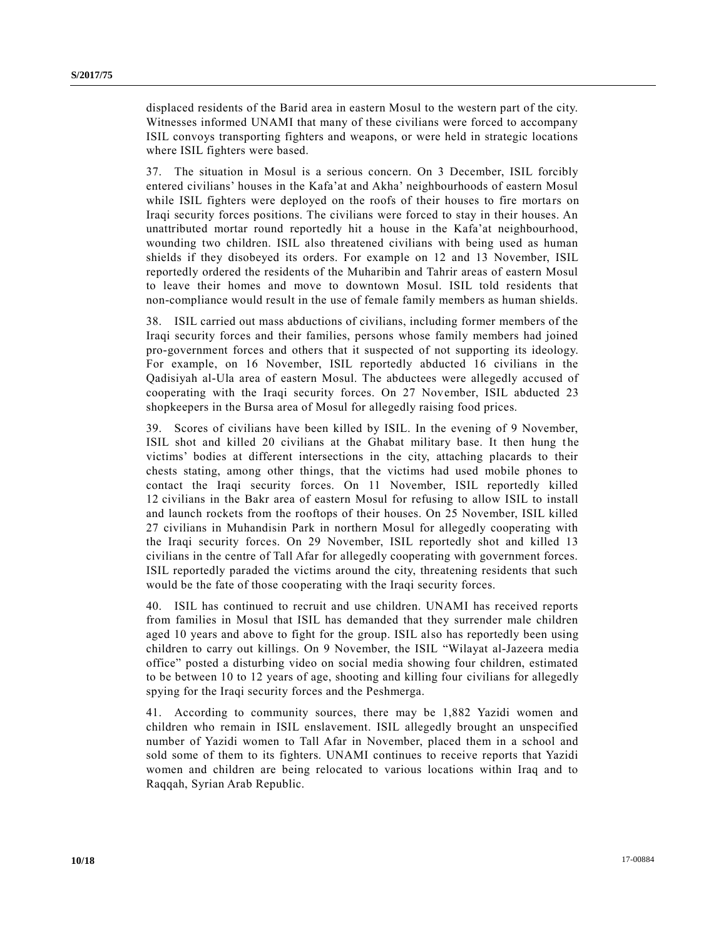displaced residents of the Barid area in eastern Mosul to the western part of the city. Witnesses informed UNAMI that many of these civilians were forced to accompany ISIL convoys transporting fighters and weapons, or were held in strategic locations where ISIL fighters were based.

37. The situation in Mosul is a serious concern. On 3 December, ISIL forcibly entered civilians' houses in the Kafa'at and Akha' neighbourhoods of eastern Mosul while ISIL fighters were deployed on the roofs of their houses to fire mortars on Iraqi security forces positions. The civilians were forced to stay in their houses. An unattributed mortar round reportedly hit a house in the Kafa'at neighbourhood, wounding two children. ISIL also threatened civilians with being used as human shields if they disobeyed its orders. For example on 12 and 13 November, ISIL reportedly ordered the residents of the Muharibin and Tahrir areas of eastern Mosul to leave their homes and move to downtown Mosul. ISIL told residents that non-compliance would result in the use of female family members as human shields.

38. ISIL carried out mass abductions of civilians, including former members of the Iraqi security forces and their families, persons whose family members had joined pro-government forces and others that it suspected of not supporting its ideology. For example, on 16 November, ISIL reportedly abducted 16 civilians in the Qadisiyah al-Ula area of eastern Mosul. The abductees were allegedly accused of cooperating with the Iraqi security forces. On 27 November, ISIL abducted 23 shopkeepers in the Bursa area of Mosul for allegedly raising food prices.

39. Scores of civilians have been killed by ISIL. In the evening of 9 November, ISIL shot and killed 20 civilians at the Ghabat military base. It then hung the victims' bodies at different intersections in the city, attaching placards to their chests stating, among other things, that the victims had used mobile phones to contact the Iraqi security forces. On 11 November, ISIL reportedly killed 12 civilians in the Bakr area of eastern Mosul for refusing to allow ISIL to install and launch rockets from the rooftops of their houses. On 25 November, ISIL killed 27 civilians in Muhandisin Park in northern Mosul for allegedly cooperating with the Iraqi security forces. On 29 November, ISIL reportedly shot and killed 13 civilians in the centre of Tall Afar for allegedly cooperating with government forces. ISIL reportedly paraded the victims around the city, threatening residents that such would be the fate of those cooperating with the Iraqi security forces.

40. ISIL has continued to recruit and use children. UNAMI has received reports from families in Mosul that ISIL has demanded that they surrender male children aged 10 years and above to fight for the group. ISIL also has reportedly been using children to carry out killings. On 9 November, the ISIL "Wilayat al-Jazeera media office" posted a disturbing video on social media showing four children, estimated to be between 10 to 12 years of age, shooting and killing four civilians for allegedly spying for the Iraqi security forces and the Peshmerga.

41. According to community sources, there may be 1,882 Yazidi women and children who remain in ISIL enslavement. ISIL allegedly brought an unspecified number of Yazidi women to Tall Afar in November, placed them in a school and sold some of them to its fighters. UNAMI continues to receive reports that Yazidi women and children are being relocated to various locations within Iraq and to Raqqah, Syrian Arab Republic.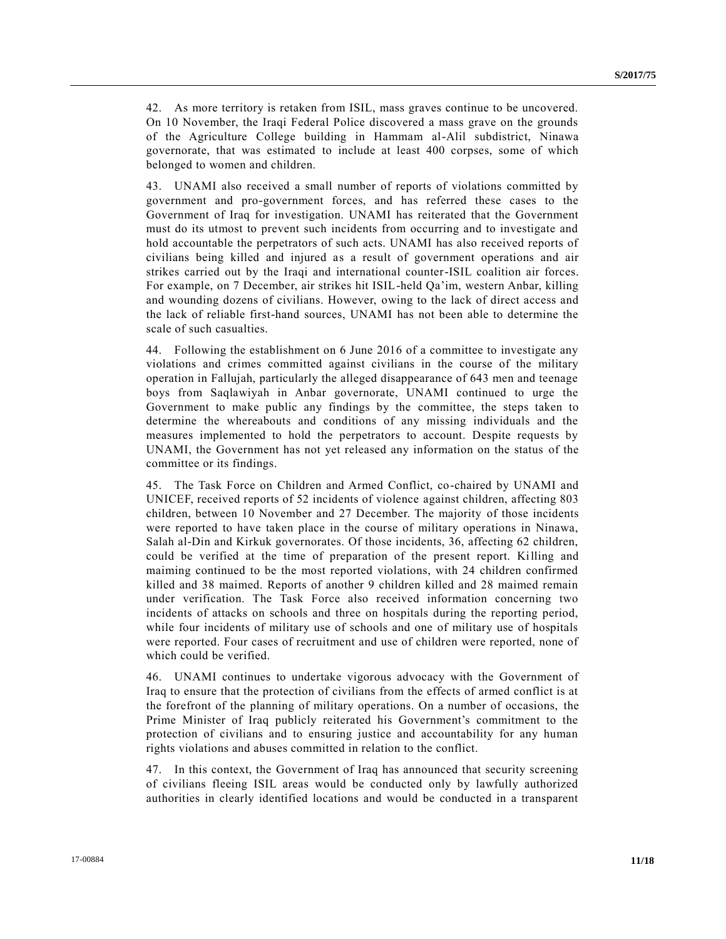42. As more territory is retaken from ISIL, mass graves continue to be uncovered. On 10 November, the Iraqi Federal Police discovered a mass grave on the grounds of the Agriculture College building in Hammam al-Alil subdistrict, Ninawa governorate, that was estimated to include at least 400 corpses, some of which belonged to women and children.

43. UNAMI also received a small number of reports of violations committed by government and pro-government forces, and has referred these cases to the Government of Iraq for investigation. UNAMI has reiterated that the Government must do its utmost to prevent such incidents from occurring and to investigate and hold accountable the perpetrators of such acts. UNAMI has also received reports of civilians being killed and injured as a result of government operations and air strikes carried out by the Iraqi and international counter-ISIL coalition air forces. For example, on 7 December, air strikes hit ISIL-held Qa'im, western Anbar, killing and wounding dozens of civilians. However, owing to the lack of direct access and the lack of reliable first-hand sources, UNAMI has not been able to determine the scale of such casualties.

44. Following the establishment on 6 June 2016 of a committee to investigate any violations and crimes committed against civilians in the course of the military operation in Fallujah, particularly the alleged disappearance of 643 men and teenage boys from Saqlawiyah in Anbar governorate, UNAMI continued to urge the Government to make public any findings by the committee, the steps taken to determine the whereabouts and conditions of any missing individuals and the measures implemented to hold the perpetrators to account. Despite requests by UNAMI, the Government has not yet released any information on the status of the committee or its findings.

45. The Task Force on Children and Armed Conflict, co-chaired by UNAMI and UNICEF, received reports of 52 incidents of violence against children, affecting 803 children, between 10 November and 27 December. The majority of those incidents were reported to have taken place in the course of military operations in Ninawa, Salah al-Din and Kirkuk governorates. Of those incidents, 36, affecting 62 children, could be verified at the time of preparation of the present report. Killing and maiming continued to be the most reported violations, with 24 children confirmed killed and 38 maimed. Reports of another 9 children killed and 28 maimed remain under verification. The Task Force also received information concerning two incidents of attacks on schools and three on hospitals during the reporting period, while four incidents of military use of schools and one of military use of hospitals were reported. Four cases of recruitment and use of children were reported, none of which could be verified.

46. UNAMI continues to undertake vigorous advocacy with the Government of Iraq to ensure that the protection of civilians from the effects of armed conflict is at the forefront of the planning of military operations. On a number of occasions, the Prime Minister of Iraq publicly reiterated his Government's commitment to the protection of civilians and to ensuring justice and accountability for any human rights violations and abuses committed in relation to the conflict.

47. In this context, the Government of Iraq has announced that security screening of civilians fleeing ISIL areas would be conducted only by lawfully authorized authorities in clearly identified locations and would be conducted in a transparent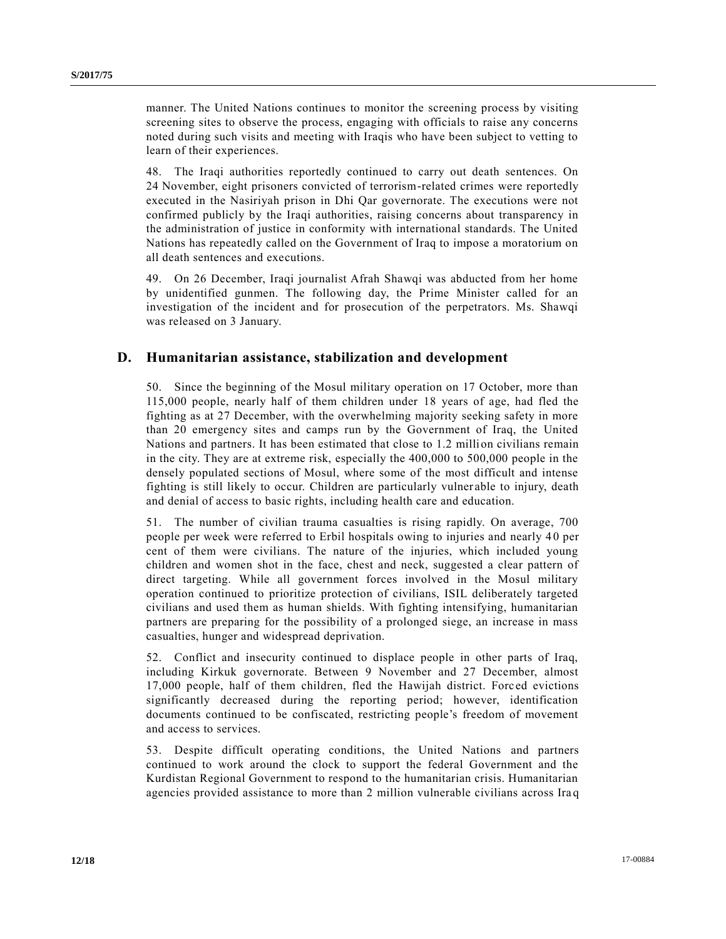manner. The United Nations continues to monitor the screening process by visiting screening sites to observe the process, engaging with officials to raise any concerns noted during such visits and meeting with Iraqis who have been subject to vetting to learn of their experiences.

48. The Iraqi authorities reportedly continued to carry out death sentences. On 24 November, eight prisoners convicted of terrorism-related crimes were reportedly executed in the Nasiriyah prison in Dhi Qar governorate. The executions were not confirmed publicly by the Iraqi authorities, raising concerns about transparency in the administration of justice in conformity with international standards. The United Nations has repeatedly called on the Government of Iraq to impose a moratorium on all death sentences and executions.

49. On 26 December, Iraqi journalist Afrah Shawqi was abducted from her home by unidentified gunmen. The following day, the Prime Minister called for an investigation of the incident and for prosecution of the perpetrators. Ms. Shawqi was released on 3 January.

#### **D. Humanitarian assistance, stabilization and development**

50. Since the beginning of the Mosul military operation on 17 October, more than 115,000 people, nearly half of them children under 18 years of age, had fled the fighting as at 27 December, with the overwhelming majority seeking safety in more than 20 emergency sites and camps run by the Government of Iraq, the United Nations and partners. It has been estimated that close to 1.2 million civilians remain in the city. They are at extreme risk, especially the 400,000 to 500,000 people in the densely populated sections of Mosul, where some of the most difficult and intense fighting is still likely to occur. Children are particularly vulner able to injury, death and denial of access to basic rights, including health care and education.

51. The number of civilian trauma casualties is rising rapidly. On average, 700 people per week were referred to Erbil hospitals owing to injuries and nearly 4 0 per cent of them were civilians. The nature of the injuries, which included young children and women shot in the face, chest and neck, suggested a clear pattern of direct targeting. While all government forces involved in the Mosul military operation continued to prioritize protection of civilians, ISIL deliberately targeted civilians and used them as human shields. With fighting intensifying, humanitarian partners are preparing for the possibility of a prolonged siege, an increase in mass casualties, hunger and widespread deprivation.

52. Conflict and insecurity continued to displace people in other parts of Iraq, including Kirkuk governorate. Between 9 November and 27 December, almost 17,000 people, half of them children, fled the Hawijah district. Forc ed evictions significantly decreased during the reporting period; however, identification documents continued to be confiscated, restricting people's freedom of movement and access to services.

53. Despite difficult operating conditions, the United Nations and partners continued to work around the clock to support the federal Government and the Kurdistan Regional Government to respond to the humanitarian crisis. Humanitarian agencies provided assistance to more than 2 million vulnerable civilians across Ira q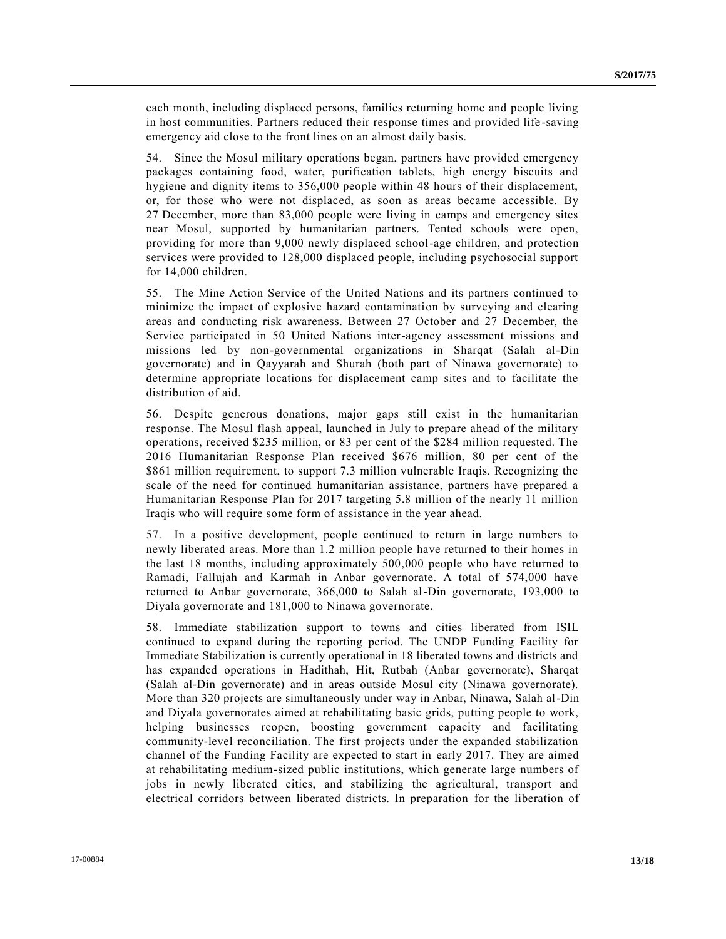each month, including displaced persons, families returning home and people living in host communities. Partners reduced their response times and provided life -saving emergency aid close to the front lines on an almost daily basis.

54. Since the Mosul military operations began, partners have provided emergency packages containing food, water, purification tablets, high energy biscuits and hygiene and dignity items to 356,000 people within 48 hours of their displacement, or, for those who were not displaced, as soon as areas became accessible. By 27 December, more than 83,000 people were living in camps and emergency sites near Mosul, supported by humanitarian partners. Tented schools were open, providing for more than 9,000 newly displaced school-age children, and protection services were provided to 128,000 displaced people, including psychosocial support for 14,000 children.

55. The Mine Action Service of the United Nations and its partners continued to minimize the impact of explosive hazard contamination by surveying and clearing areas and conducting risk awareness. Between 27 October and 27 December, the Service participated in 50 United Nations inter-agency assessment missions and missions led by non-governmental organizations in Sharqat (Salah al-Din governorate) and in Qayyarah and Shurah (both part of Ninawa governorate) to determine appropriate locations for displacement camp sites and to facilitate the distribution of aid.

56. Despite generous donations, major gaps still exist in the humanitarian response. The Mosul flash appeal, launched in July to prepare ahead of the military operations, received \$235 million, or 83 per cent of the \$284 million requested. The 2016 Humanitarian Response Plan received \$676 million, 80 per cent of the \$861 million requirement, to support 7.3 million vulnerable Iraqis. Recognizing the scale of the need for continued humanitarian assistance, partners have prepared a Humanitarian Response Plan for 2017 targeting 5.8 million of the nearly 11 million Iraqis who will require some form of assistance in the year ahead.

57. In a positive development, people continued to return in large numbers to newly liberated areas. More than 1.2 million people have returned to their homes in the last 18 months, including approximately 500,000 people who have returned to Ramadi, Fallujah and Karmah in Anbar governorate. A total of 574,000 have returned to Anbar governorate, 366,000 to Salah al-Din governorate, 193,000 to Diyala governorate and 181,000 to Ninawa governorate.

58. Immediate stabilization support to towns and cities liberated from ISIL continued to expand during the reporting period. The UNDP Funding Facility for Immediate Stabilization is currently operational in 18 liberated towns and districts and has expanded operations in Hadithah, Hit, Rutbah (Anbar governorate), Sharqat (Salah al-Din governorate) and in areas outside Mosul city (Ninawa governorate). More than 320 projects are simultaneously under way in Anbar, Ninawa, Salah al-Din and Diyala governorates aimed at rehabilitating basic grids, putting people to work, helping businesses reopen, boosting government capacity and facilitating community-level reconciliation. The first projects under the expanded stabilization channel of the Funding Facility are expected to start in early 2017. They are aimed at rehabilitating medium-sized public institutions, which generate large numbers of jobs in newly liberated cities, and stabilizing the agricultural, transport and electrical corridors between liberated districts. In preparation for the liberation of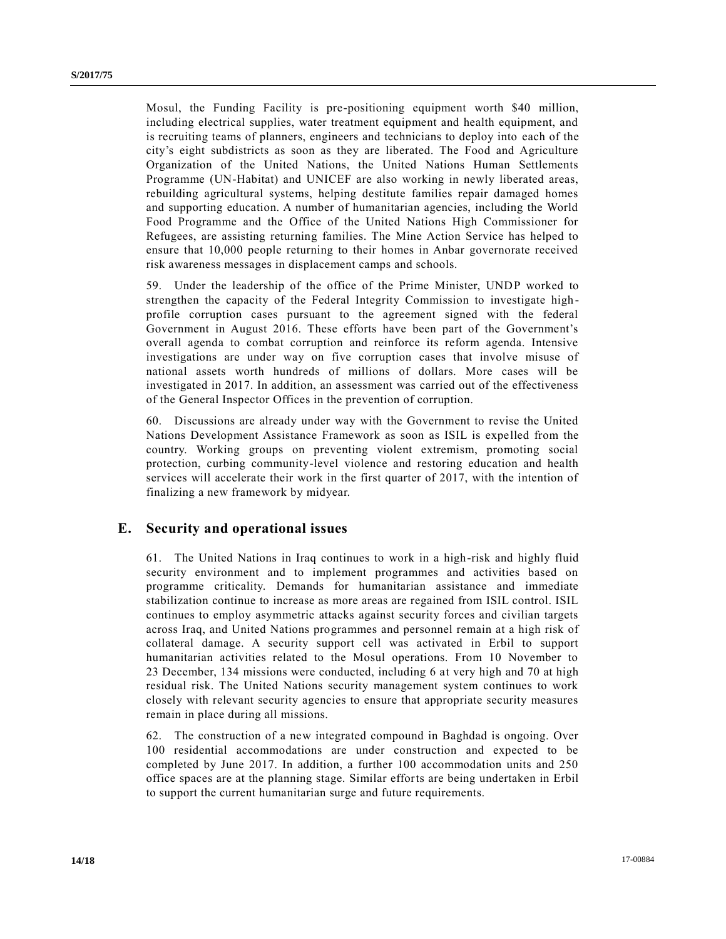Mosul, the Funding Facility is pre-positioning equipment worth \$40 million, including electrical supplies, water treatment equipment and health equipment, and is recruiting teams of planners, engineers and technicians to deploy into each of the city's eight subdistricts as soon as they are liberated. The Food and Agriculture Organization of the United Nations, the United Nations Human Settlements Programme (UN-Habitat) and UNICEF are also working in newly liberated areas, rebuilding agricultural systems, helping destitute families repair damaged homes and supporting education. A number of humanitarian agencies, including the World Food Programme and the Office of the United Nations High Commissioner for Refugees, are assisting returning families. The Mine Action Service has helped to ensure that 10,000 people returning to their homes in Anbar governorate received risk awareness messages in displacement camps and schools.

59. Under the leadership of the office of the Prime Minister, UNDP worked to strengthen the capacity of the Federal Integrity Commission to investigate high profile corruption cases pursuant to the agreement signed with the federal Government in August 2016. These efforts have been part of the Government's overall agenda to combat corruption and reinforce its reform agenda. Intensive investigations are under way on five corruption cases that involve misuse of national assets worth hundreds of millions of dollars. More cases will be investigated in 2017. In addition, an assessment was carried out of the effectiveness of the General Inspector Offices in the prevention of corruption.

60. Discussions are already under way with the Government to revise the United Nations Development Assistance Framework as soon as ISIL is expelled from the country. Working groups on preventing violent extremism, promoting social protection, curbing community-level violence and restoring education and health services will accelerate their work in the first quarter of 2017, with the intention of finalizing a new framework by midyear.

#### **E. Security and operational issues**

61. The United Nations in Iraq continues to work in a high-risk and highly fluid security environment and to implement programmes and activities based on programme criticality. Demands for humanitarian assistance and immediate stabilization continue to increase as more areas are regained from ISIL control. ISIL continues to employ asymmetric attacks against security forces and civilian targets across Iraq, and United Nations programmes and personnel remain at a high risk of collateral damage. A security support cell was activated in Erbil to support humanitarian activities related to the Mosul operations. From 10 November to 23 December, 134 missions were conducted, including 6 at very high and 70 at high residual risk. The United Nations security management system continues to work closely with relevant security agencies to ensure that appropriate security measures remain in place during all missions.

62. The construction of a new integrated compound in Baghdad is ongoing. Over 100 residential accommodations are under construction and expected to be completed by June 2017. In addition, a further 100 accommodation units and 250 office spaces are at the planning stage. Similar efforts are being undertaken in Erbil to support the current humanitarian surge and future requirements.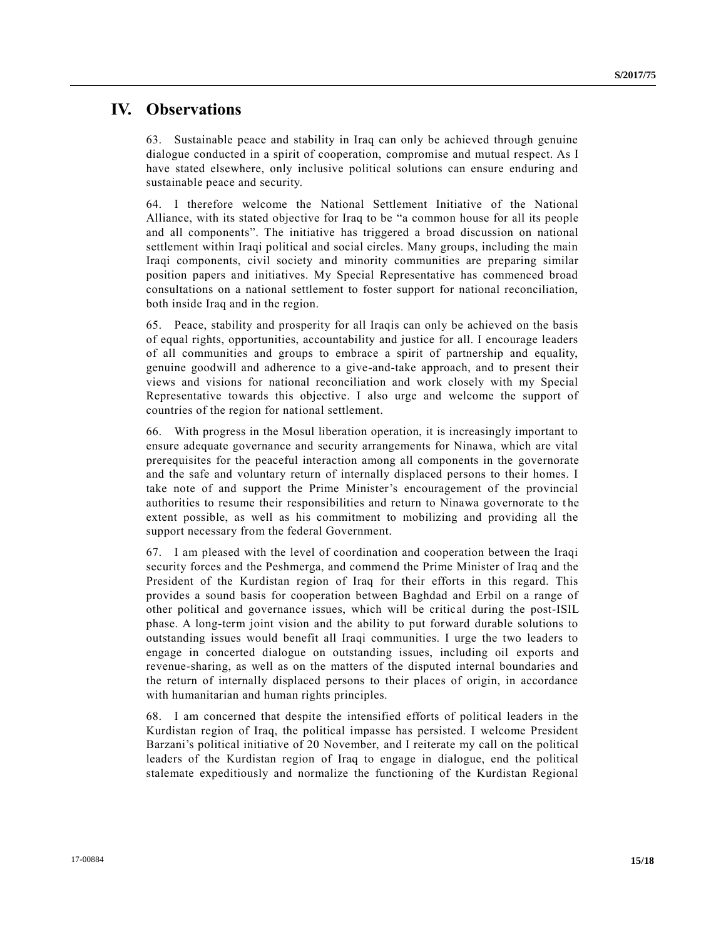### **IV. Observations**

63. Sustainable peace and stability in Iraq can only be achieved through genuine dialogue conducted in a spirit of cooperation, compromise and mutual respect. As I have stated elsewhere, only inclusive political solutions can ensure enduring and sustainable peace and security.

64. I therefore welcome the National Settlement Initiative of the National Alliance, with its stated objective for Iraq to be "a common house for all its people and all components". The initiative has triggered a broad discussion on national settlement within Iraqi political and social circles. Many groups, including the main Iraqi components, civil society and minority communities are preparing similar position papers and initiatives. My Special Representative has commenced broad consultations on a national settlement to foster support for national reconciliation, both inside Iraq and in the region.

65. Peace, stability and prosperity for all Iraqis can only be achieved on the basis of equal rights, opportunities, accountability and justice for all. I encourage leaders of all communities and groups to embrace a spirit of partnership and equality, genuine goodwill and adherence to a give-and-take approach, and to present their views and visions for national reconciliation and work closely with my Special Representative towards this objective. I also urge and welcome the support of countries of the region for national settlement.

66. With progress in the Mosul liberation operation, it is increasingly important to ensure adequate governance and security arrangements for Ninawa, which are vital prerequisites for the peaceful interaction among all components in the governorate and the safe and voluntary return of internally displaced persons to their homes. I take note of and support the Prime Minister's encouragement of the provincial authorities to resume their responsibilities and return to Ninawa governorate to t he extent possible, as well as his commitment to mobilizing and providing all the support necessary from the federal Government.

67. I am pleased with the level of coordination and cooperation between the Iraqi security forces and the Peshmerga, and commend the Prime Minister of Iraq and the President of the Kurdistan region of Iraq for their efforts in this regard. This provides a sound basis for cooperation between Baghdad and Erbil on a range of other political and governance issues, which will be critical during the post-ISIL phase. A long-term joint vision and the ability to put forward durable solutions to outstanding issues would benefit all Iraqi communities. I urge the two leaders to engage in concerted dialogue on outstanding issues, including oil exports and revenue-sharing, as well as on the matters of the disputed internal boundaries and the return of internally displaced persons to their places of origin, in accordance with humanitarian and human rights principles.

68. I am concerned that despite the intensified efforts of political leaders in the Kurdistan region of Iraq, the political impasse has persisted. I welcome President Barzani's political initiative of 20 November, and I reiterate my call on the political leaders of the Kurdistan region of Iraq to engage in dialogue, end the political stalemate expeditiously and normalize the functioning of the Kurdistan Regional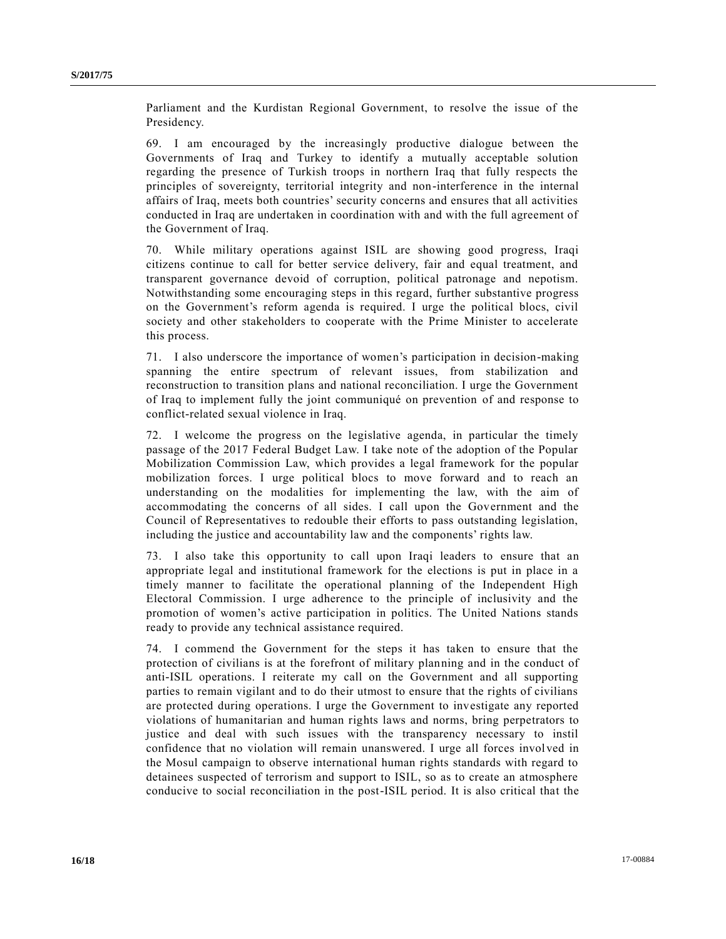Parliament and the Kurdistan Regional Government, to resolve the issue of the Presidency.

69. I am encouraged by the increasingly productive dialogue between the Governments of Iraq and Turkey to identify a mutually acceptable solution regarding the presence of Turkish troops in northern Iraq that fully respects the principles of sovereignty, territorial integrity and non-interference in the internal affairs of Iraq, meets both countries' security concerns and ensures that all activities conducted in Iraq are undertaken in coordination with and with the full agreement of the Government of Iraq.

70. While military operations against ISIL are showing good progress, Iraqi citizens continue to call for better service delivery, fair and equal treatment, and transparent governance devoid of corruption, political patronage and nepotism. Notwithstanding some encouraging steps in this regard, further substantive progress on the Government's reform agenda is required. I urge the political blocs, civil society and other stakeholders to cooperate with the Prime Minister to accelerate this process.

71. I also underscore the importance of women's participation in decision-making spanning the entire spectrum of relevant issues, from stabilization and reconstruction to transition plans and national reconciliation. I urge the Government of Iraq to implement fully the joint communiqué on prevention of and response to conflict-related sexual violence in Iraq.

72. I welcome the progress on the legislative agenda, in particular the timely passage of the 2017 Federal Budget Law. I take note of the adoption of the Popular Mobilization Commission Law, which provides a legal framework for the popular mobilization forces. I urge political blocs to move forward and to reach an understanding on the modalities for implementing the law, with the aim of accommodating the concerns of all sides. I call upon the Government and the Council of Representatives to redouble their efforts to pass outstanding legislation, including the justice and accountability law and the components' rights law.

73. I also take this opportunity to call upon Iraqi leaders to ensure that an appropriate legal and institutional framework for the elections is put in place in a timely manner to facilitate the operational planning of the Independent High Electoral Commission. I urge adherence to the principle of inclusivity and the promotion of women's active participation in politics. The United Nations stands ready to provide any technical assistance required.

74. I commend the Government for the steps it has taken to ensure that the protection of civilians is at the forefront of military planning and in the conduct of anti-ISIL operations. I reiterate my call on the Government and all supporting parties to remain vigilant and to do their utmost to ensure that the rights of civilians are protected during operations. I urge the Government to investigate any reported violations of humanitarian and human rights laws and norms, bring perpetrators to justice and deal with such issues with the transparency necessary to instil confidence that no violation will remain unanswered. I urge all forces involved in the Mosul campaign to observe international human rights standards with regard to detainees suspected of terrorism and support to ISIL, so as to create an atmosphere conducive to social reconciliation in the post-ISIL period. It is also critical that the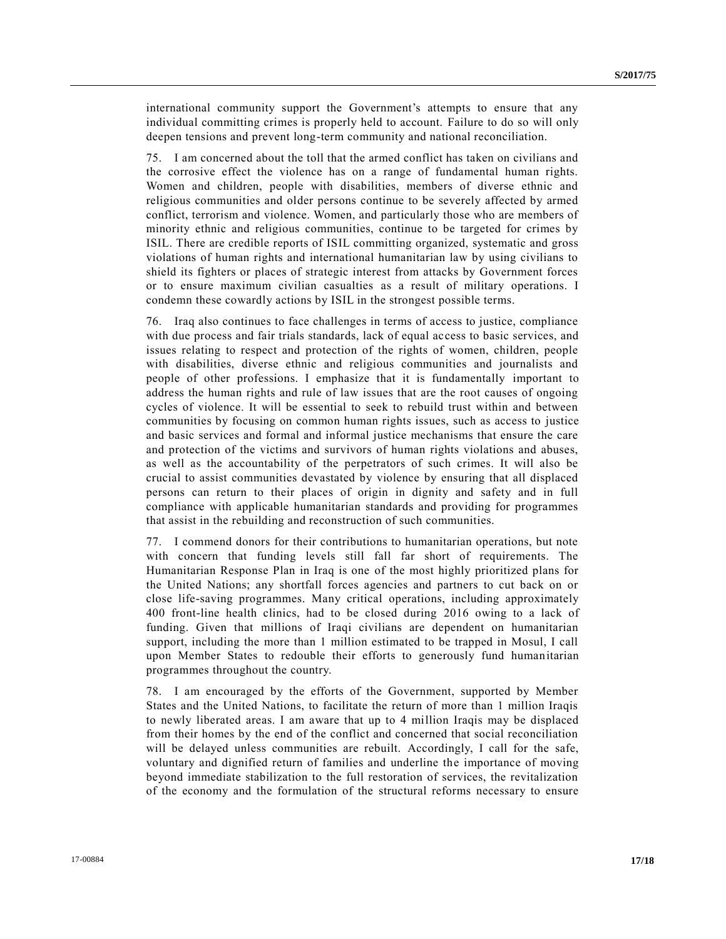international community support the Government's attempts to ensure that any individual committing crimes is properly held to account. Failure to do so will only deepen tensions and prevent long-term community and national reconciliation.

75. I am concerned about the toll that the armed conflict has taken on civilians and the corrosive effect the violence has on a range of fundamental human rights. Women and children, people with disabilities, members of diverse ethnic and religious communities and older persons continue to be severely affected by armed conflict, terrorism and violence. Women, and particularly those who are members of minority ethnic and religious communities, continue to be targeted for crimes by ISIL. There are credible reports of ISIL committing organized, systematic and gross violations of human rights and international humanitarian law by using civilians to shield its fighters or places of strategic interest from attacks by Government forces or to ensure maximum civilian casualties as a result of military operations. I condemn these cowardly actions by ISIL in the strongest possible terms.

76. Iraq also continues to face challenges in terms of access to justice, compliance with due process and fair trials standards, lack of equal access to basic services, and issues relating to respect and protection of the rights of women, children, people with disabilities, diverse ethnic and religious communities and journalists and people of other professions. I emphasize that it is fundamentally important to address the human rights and rule of law issues that are the root causes of ongoing cycles of violence. It will be essential to seek to rebuild trust within and between communities by focusing on common human rights issues, such as access to justice and basic services and formal and informal justice mechanisms that ensure the care and protection of the victims and survivors of human rights violations and abuses, as well as the accountability of the perpetrators of such crimes. It will also be crucial to assist communities devastated by violence by ensuring that all displaced persons can return to their places of origin in dignity and safety and in full compliance with applicable humanitarian standards and providing for programmes that assist in the rebuilding and reconstruction of such communities.

77. I commend donors for their contributions to humanitarian operations, but note with concern that funding levels still fall far short of requirements. The Humanitarian Response Plan in Iraq is one of the most highly prioritized plans for the United Nations; any shortfall forces agencies and partners to cut back on or close life-saving programmes. Many critical operations, including approximately 400 front-line health clinics, had to be closed during 2016 owing to a lack of funding. Given that millions of Iraqi civilians are dependent on humanitarian support, including the more than 1 million estimated to be trapped in Mosul, I call upon Member States to redouble their efforts to generously fund humanitarian programmes throughout the country.

78. I am encouraged by the efforts of the Government, supported by Member States and the United Nations, to facilitate the return of more than 1 million Iraqis to newly liberated areas. I am aware that up to 4 million Iraqis may be displaced from their homes by the end of the conflict and concerned that social reconciliation will be delayed unless communities are rebuilt. Accordingly, I call for the safe, voluntary and dignified return of families and underline the importance of moving beyond immediate stabilization to the full restoration of services, the revitalization of the economy and the formulation of the structural reforms necessary to ensure